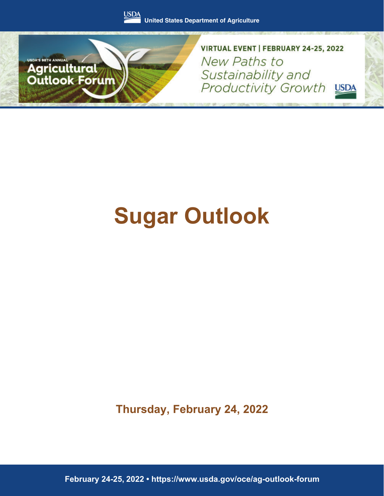



VIRTUAL EVENT | FEBRUARY 24-25, 2022 New Paths to Sustainability and Productivity Growth USDA

## **Sugar Outlook**

**Thursday, February 24, 2022**

February 24-25, 2022 · https://www.usda.gov/oce/ag-outlook-forum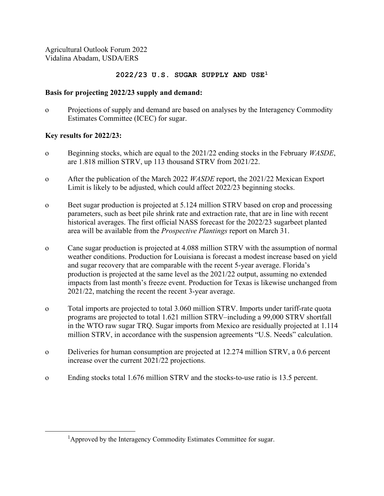## **2022/23 U.S. SUGAR SUPPLY AND USE[1](#page-1-0)**

## **Basis for projecting 2022/23 supply and demand:**

o Projections of supply and demand are based on analyses by the Interagency Commodity Estimates Committee (ICEC) for sugar.

## **Key results for 2022/23:**

- o Beginning stocks, which are equal to the 2021/22 ending stocks in the February *WASDE*, are 1.818 million STRV, up 113 thousand STRV from 2021/22.
- o After the publication of the March 2022 *WASDE* report, the 2021/22 Mexican Export Limit is likely to be adjusted, which could affect 2022/23 beginning stocks.
- o Beet sugar production is projected at 5.124 million STRV based on crop and processing parameters, such as beet pile shrink rate and extraction rate, that are in line with recent historical averages. The first official NASS forecast for the 2022/23 sugarbeet planted area will be available from the *Prospective Plantings* report on March 31.
- o Cane sugar production is projected at 4.088 million STRV with the assumption of normal weather conditions. Production for Louisiana is forecast a modest increase based on yield and sugar recovery that are comparable with the recent 5-year average. Florida's production is projected at the same level as the 2021/22 output, assuming no extended impacts from last month's freeze event. Production for Texas is likewise unchanged from 2021/22, matching the recent the recent 3-year average.
- o Total imports are projected to total 3.060 million STRV. Imports under tariff-rate quota programs are projected to total 1.621 million STRV–including a 99,000 STRV shortfall in the WTO raw sugar TRQ. Sugar imports from Mexico are residually projected at 1.114 million STRV, in accordance with the suspension agreements "U.S. Needs" calculation.
- o Deliveries for human consumption are projected at 12.274 million STRV, a 0.6 percent increase over the current 2021/22 projections.
- o Ending stocks total 1.676 million STRV and the stocks-to-use ratio is 13.5 percent.

<span id="page-1-0"></span><sup>&</sup>lt;sup>1</sup>Approved by the Interagency Commodity Estimates Committee for sugar.